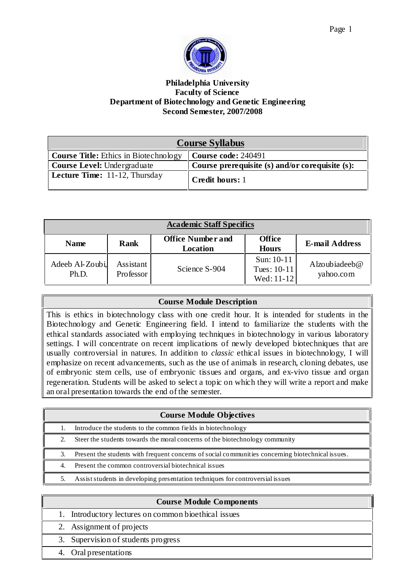

# **Philadelphia University Faculty of Science Department of Biotechnology and Genetic Engineering Second Semester, 2007/2008**

| <b>Course Syllabus</b>                       |                                                 |
|----------------------------------------------|-------------------------------------------------|
| <b>Course Title:</b> Ethics in Biotechnology | <b>Course code: 240491</b>                      |
| Course Level: Undergraduate                  | Course prerequisite (s) and/or corequisite (s): |
| <b>Lecture Time:</b> 11-12, Thursday         | Credit hours: 1                                 |

| <b>Academic Staff Specifics</b> |                        |                                             |                                           |                               |
|---------------------------------|------------------------|---------------------------------------------|-------------------------------------------|-------------------------------|
| <b>Name</b>                     | <b>Rank</b>            | <b>Office Number and</b><br><b>Location</b> | <b>Office</b><br><b>Hours</b>             | <b>E-mail Address</b>         |
| Adeeb Al-Zoubi,<br>Ph.D.        | Assistant<br>Professor | Science S-904                               | Sun: $10-11$<br>Tues: 10-11<br>Wed: 11-12 | Alzoubiadeeb $@$<br>yahoo.com |

# **Course Module Description**

This is ethics in biotechnology class with one credit hour. It is intended for students in the Biotechnology and Genetic Engineering field. I intend to familiarize the students with the ethical standards associated with employing techniques in biotechnology in various laboratory settings. I will concentrate on recent implications of newly developed biotechniques that are usually controversial in natures. In addition to *classic* ethical issues in biotechnology, I will emphasize on recent advancements, such as the use of animals in research, cloning debates, use of embryonic stem cells, use of embryonic tissues and organs, and ex-vivo tissue and organ regeneration. Students will be asked to select a topic on which they will write a report and make an oral presentation towards the end of the semester.

|    | <b>Course Module Objectives</b>                                                                   |
|----|---------------------------------------------------------------------------------------------------|
|    | Introduce the students to the common fields in biotechnology                                      |
|    | Steer the students towards the moral concerns of the biotechnology community                      |
| 3. | Present the students with frequent concerns of social communities concerning biotechnical issues. |
|    | Present the common controversial biotechnical issues                                              |
|    | Assist students in developing presentation techniques for controversial issues                    |

| <b>Course Module Components</b>                      |
|------------------------------------------------------|
| 1. Introductory lectures on common bioethical issues |
| 2. Assignment of projects                            |
| 3. Supervision of students progress                  |
| 4. Oral presentations                                |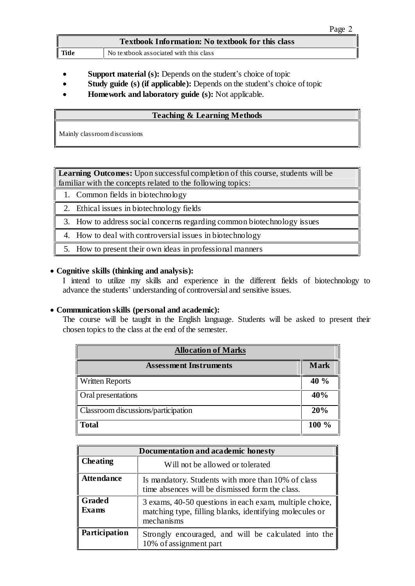| <b>Textbook Information: No textbook for this class</b> |                                        |
|---------------------------------------------------------|----------------------------------------|
| Title                                                   | No textbook associated with this class |

- **Support material (s):** Depends on the student's choice of topic
- **Study** guide (s) (if applicable): Depends on the student's choice of topic
- **Homework and laboratory guide (s):** Not applicable.

## **Teaching & Learning Methods**

Mainly classroomdiscussions

**Learning Outcomes:** Upon successful completion of this course, students will be familiar with the concepts related to the following topics:

- 1. Common fields in biotechnology
- 2. Ethical issues in biotechnology fields
- 3. How to address social concerns regarding common biotechnology issues
- 4. How to deal with controversial issues in biotechnology
- 5. How to present their own ideas in professional manners

### **Cognitive skills (thinking and analysis):**

I intend to utilize my skills and experience in the different fields of biotechnology to advance the students' understanding of controversial and sensitive issues.

### **Communication skills (personal and academic):**

The course will be taught in the English language. Students will be asked to present their chosen topics to the class at the end of the semester.

| <b>Allocation of Marks</b>          |             |
|-------------------------------------|-------------|
| <b>Assessment Instruments</b>       | <b>Mark</b> |
| <b>Written Reports</b>              | 40 %        |
| Oral presentations                  | 40%         |
| Classroom discussions/participation |             |
| <b>Total</b>                        | $100\%$     |

| Documentation and academic honesty |                                                                                                                                  |
|------------------------------------|----------------------------------------------------------------------------------------------------------------------------------|
| <b>Cheating</b>                    | Will not be allowed or tolerated                                                                                                 |
| <b>Attendance</b>                  | Is mandatory. Students with more than 10% of class<br>time absences will be dismissed form the class.                            |
| Graded<br><b>Exams</b>             | 3 exams, 40-50 questions in each exam, multiple choice,<br>matching type, filling blanks, identifying molecules or<br>mechanisms |
| Participation                      | Strongly encouraged, and will be calculated into the<br>10% of assignment part                                                   |